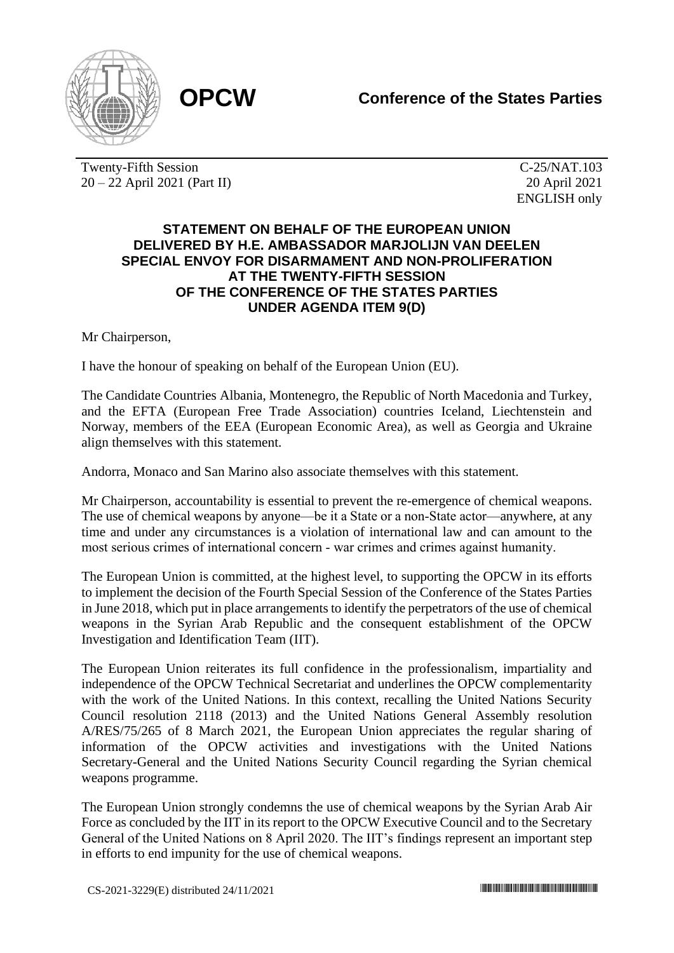

Twenty-Fifth Session 20 – 22 April 2021 (Part II)

C-25/NAT.103 20 April 2021 ENGLISH only

## **STATEMENT ON BEHALF OF THE EUROPEAN UNION DELIVERED BY H.E. AMBASSADOR MARJOLIJN VAN DEELEN SPECIAL ENVOY FOR DISARMAMENT AND NON-PROLIFERATION AT THE TWENTY-FIFTH SESSION OF THE CONFERENCE OF THE STATES PARTIES UNDER AGENDA ITEM 9(D)**

Mr Chairperson,

I have the honour of speaking on behalf of the European Union (EU).

The Candidate Countries Albania, Montenegro, the Republic of North Macedonia and Turkey, and the EFTA (European Free Trade Association) countries Iceland, Liechtenstein and Norway, members of the EEA (European Economic Area), as well as Georgia and Ukraine align themselves with this statement.

Andorra, Monaco and San Marino also associate themselves with this statement.

Mr Chairperson, accountability is essential to prevent the re-emergence of chemical weapons. The use of chemical weapons by anyone—be it a State or a non-State actor—anywhere, at any time and under any circumstances is a violation of international law and can amount to the most serious crimes of international concern ‐ war crimes and crimes against humanity.

The European Union is committed, at the highest level, to supporting the OPCW in its efforts to implement the decision of the Fourth Special Session of the Conference of the States Parties in June 2018, which put in place arrangements to identify the perpetrators of the use of chemical weapons in the Syrian Arab Republic and the consequent establishment of the OPCW Investigation and Identification Team (IIT).

The European Union reiterates its full confidence in the professionalism, impartiality and independence of the OPCW Technical Secretariat and underlines the OPCW complementarity with the work of the United Nations. In this context, recalling the United Nations Security Council resolution 2118 (2013) and the United Nations General Assembly resolution A/RES/75/265 of 8 March 2021, the European Union appreciates the regular sharing of information of the OPCW activities and investigations with the United Nations Secretary-General and the United Nations Security Council regarding the Syrian chemical weapons programme.

The European Union strongly condemns the use of chemical weapons by the Syrian Arab Air Force as concluded by the IIT in its report to the OPCW Executive Council and to the Secretary General of the United Nations on 8 April 2020. The IIT's findings represent an important step in efforts to end impunity for the use of chemical weapons.